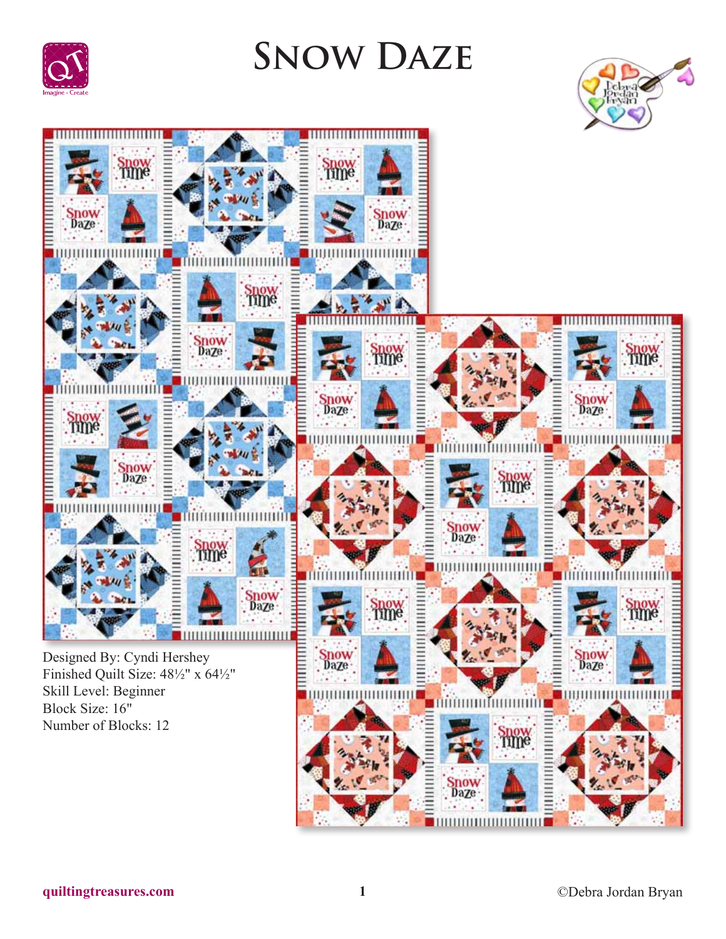



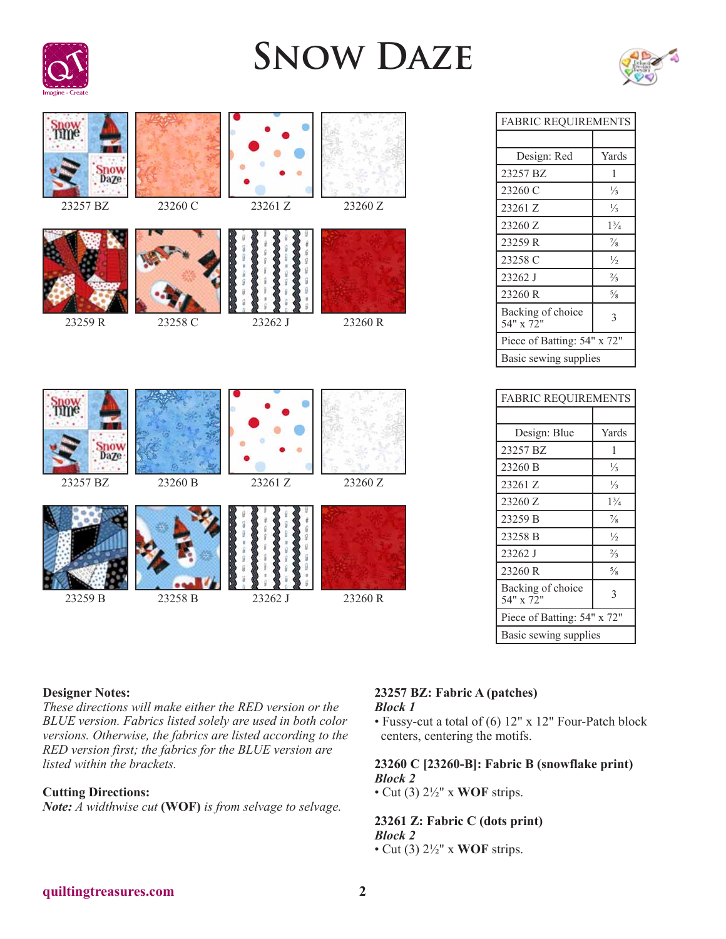![](_page_1_Picture_1.jpeg)

![](_page_1_Picture_2.jpeg)

![](_page_1_Picture_3.jpeg)

| <b>FABRIC REQUIREMENTS</b>     |                |  |
|--------------------------------|----------------|--|
|                                |                |  |
| Design: Red                    | Yards          |  |
| 23257 BZ                       | 1              |  |
| 23260 C                        | $\frac{1}{3}$  |  |
| 23261 Z                        | $\frac{1}{3}$  |  |
| 23260 Z                        | $1\frac{3}{4}$ |  |
| 23259 R                        | $\frac{7}{8}$  |  |
| 23258 C                        | $\frac{1}{2}$  |  |
| 23262 J                        | $\frac{2}{3}$  |  |
| 23260 R                        | $\frac{5}{8}$  |  |
| Backing of choice<br>54" x 72" | 3              |  |
| Piece of Batting: 54" x 72"    |                |  |
| Basic sewing supplies          |                |  |

| <b>FABRIC REQUIREMENTS</b>     |                |
|--------------------------------|----------------|
|                                |                |
| Design: Blue                   | Yards          |
| 23257 BZ                       | 1              |
| 23260 B                        | $\frac{1}{3}$  |
| 23261 Z                        | $\frac{1}{3}$  |
| 23260 Z                        | $1\frac{3}{4}$ |
| 23259 B                        | $\frac{7}{8}$  |
| 23258 B                        | $\frac{1}{2}$  |
| 23262 J                        | $\frac{2}{3}$  |
| 23260 R                        | $\frac{5}{8}$  |
| Backing of choice<br>54" x 72" | 3              |
| Piece of Batting: 54" x 72"    |                |
| Basic sewing supplies          |                |

#### **Designer Notes:**

*These directions will make either the RED version or the BLUE version. Fabrics listed solely are used in both color versions. Otherwise, the fabrics are listed according to the RED version first; the fabrics for the BLUE version are listed within the brackets.*

## **Cutting Directions:**

*Note: A widthwise cut* **(WOF)** *is from selvage to selvage.*

## **23257 BZ: Fabric A (patches)**

#### *Block 1*

• Fussy-cut a total of (6) 12" x 12" Four-Patch block centers, centering the motifs.

#### **23260 C [23260-B]: Fabric B (snowflake print)** *Block 2*

• Cut (3) 2½" x **WOF** strips.

## **23261 Z: Fabric C (dots print)**

- *Block 2*
- Cut (3) 2½" x **WOF** strips.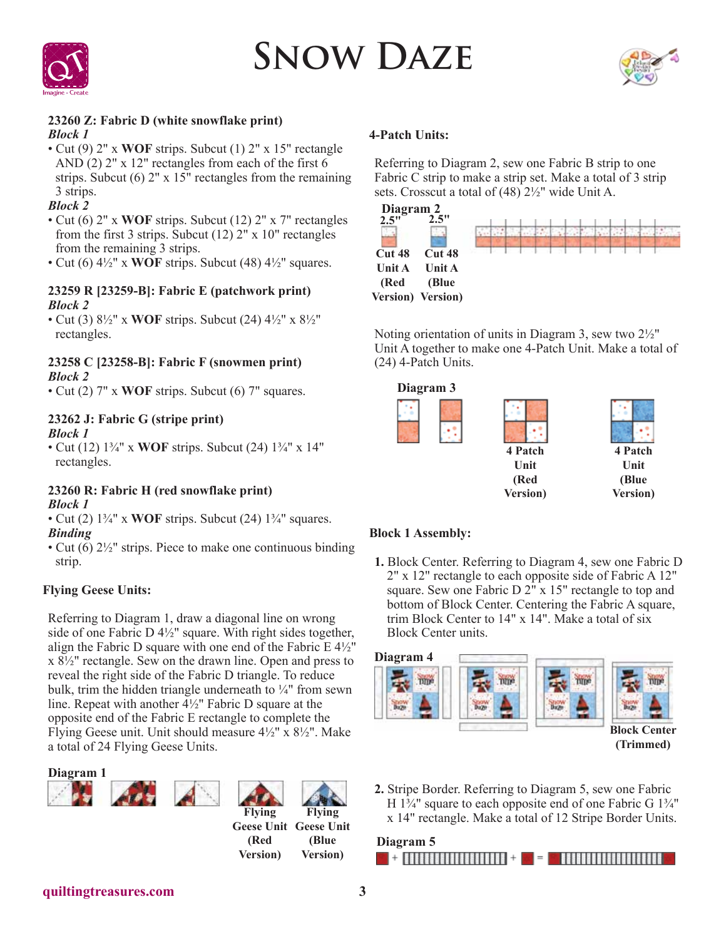![](_page_2_Picture_1.jpeg)

![](_page_2_Picture_2.jpeg)

#### **23260 Z: Fabric D (white snowflake print)** *Block 1*

• Cut (9) 2" x **WOF** strips. Subcut (1) 2" x 15" rectangle AND (2) 2" x 12" rectangles from each of the first 6 strips. Subcut  $(6)$  2" x 15" rectangles from the remaining 3 strips.

## *Block 2*

- Cut (6) 2" x **WOF** strips. Subcut (12) 2" x 7" rectangles from the first 3 strips. Subcut  $(12)$  2" x 10" rectangles from the remaining 3 strips.
- Cut (6) 4½" x **WOF** strips. Subcut (48) 4½" squares.

### **23259 R [23259-B]: Fabric E (patchwork print)** *Block 2*

• Cut (3) 8½" x **WOF** strips. Subcut (24) 4½" x 8½" rectangles.

## **23258 C [23258-B]: Fabric F (snowmen print)** *Block 2*

• Cut (2) 7" x **WOF** strips. Subcut (6) 7" squares.

#### **23262 J: Fabric G (stripe print)** *Block 1*

• Cut (12) 1¾" x **WOF** strips. Subcut (24) 1¾" x 14" rectangles.

## **23260 R: Fabric H (red snowflake print)** *Block 1*

- Cut (2)  $1\frac{3}{4}$ " x **WOF** strips. Subcut (24)  $1\frac{3}{4}$ " squares. *Binding*
- Cut (6)  $2\frac{1}{2}$ " strips. Piece to make one continuous binding strip.

## **Flying Geese Units:**

Referring to Diagram 1, draw a diagonal line on wrong side of one Fabric D 4½" square. With right sides together, align the Fabric D square with one end of the Fabric E  $4\frac{1}{2}$ " x 8½" rectangle. Sew on the drawn line. Open and press to reveal the right side of the Fabric D triangle. To reduce bulk, trim the hidden triangle underneath to  $\frac{1}{4}$ " from sewn line. Repeat with another 4½" Fabric D square at the opposite end of the Fabric E rectangle to complete the Flying Geese unit. Unit should measure  $4\frac{1}{2}$ " x  $8\frac{1}{2}$ ". Make a total of 24 Flying Geese Units.

## **Diagram 1**

![](_page_2_Picture_20.jpeg)

![](_page_2_Picture_21.jpeg)

![](_page_2_Picture_22.jpeg)

**Flying Geese Unit Geese Unit (Red Version) (Blue Version)**

## **4-Patch Units:**

Referring to Diagram 2, sew one Fabric B strip to one Fabric C strip to make a strip set. Make a total of 3 strip sets. Crosscut a total of (48) 2½" wide Unit A.

![](_page_2_Figure_26.jpeg)

Noting orientation of units in Diagram 3, sew two 2½" Unit A together to make one 4-Patch Unit. Make a total of (24) 4-Patch Units.

![](_page_2_Figure_28.jpeg)

## **Block 1 Assembly:**

**1.** Block Center. Referring to Diagram 4, sew one Fabric D 2" x 12" rectangle to each opposite side of Fabric A 12" square. Sew one Fabric D 2" x 15" rectangle to top and bottom of Block Center. Centering the Fabric A square, trim Block Center to 14" x 14". Make a total of six Block Center units.

![](_page_2_Figure_31.jpeg)

**2.** Stripe Border. Referring to Diagram 5, sew one Fabric H  $1\frac{3}{4}$ " square to each opposite end of one Fabric G  $1\frac{3}{4}$ " x 14" rectangle. Make a total of 12 Stripe Border Units.

## **Diagram 5**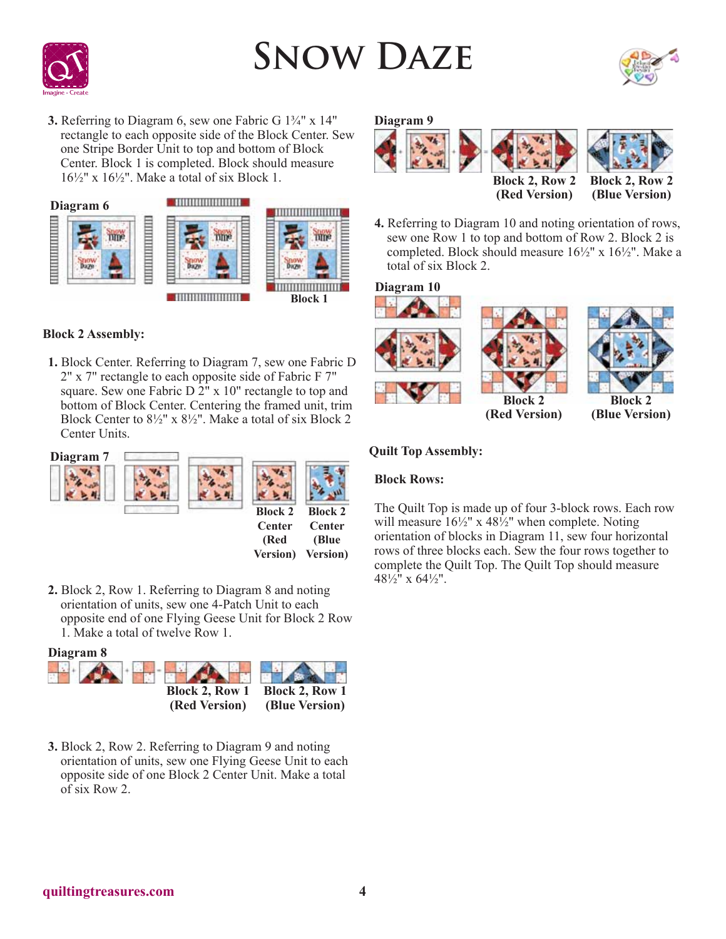![](_page_3_Picture_0.jpeg)

![](_page_3_Picture_2.jpeg)

**3.** Referring to Diagram 6, sew one Fabric G 1¾" x 14" rectangle to each opposite side of the Block Center. Sew one Stripe Border Unit to top and bottom of Block Center. Block 1 is completed. Block should measure  $16\frac{1}{2}$ " x  $16\frac{1}{2}$ ". Make a total of six Block 1.

![](_page_3_Figure_4.jpeg)

## **Block 2 Assembly:**

**1.** Block Center. Referring to Diagram 7, sew one Fabric D 2" x 7" rectangle to each opposite side of Fabric F 7" square. Sew one Fabric D  $2^{\degree}$  x 10" rectangle to top and bottom of Block Center. Centering the framed unit, trim Block Center to 8½" x 8½". Make a total of six Block 2 Center Units.

![](_page_3_Figure_7.jpeg)

**2.** Block 2, Row 1. Referring to Diagram 8 and noting orientation of units, sew one 4-Patch Unit to each opposite end of one Flying Geese Unit for Block 2 Row 1. Make a total of twelve Row 1.

![](_page_3_Figure_9.jpeg)

**3.** Block 2, Row 2. Referring to Diagram 9 and noting orientation of units, sew one Flying Geese Unit to each opposite side of one Block 2 Center Unit. Make a total of six Row 2.

#### **Diagram 9**

![](_page_3_Figure_12.jpeg)

**4.** Referring to Diagram 10 and noting orientation of rows, sew one Row 1 to top and bottom of Row 2. Block 2 is completed. Block should measure 16½" x 16½". Make a total of six Block 2.

### **Diagram 10**

![](_page_3_Figure_15.jpeg)

## **Quilt Top Assembly:**

#### **Block Rows:**

The Quilt Top is made up of four 3-block rows. Each row will measure  $16\frac{1}{2}$ " x  $48\frac{1}{2}$ " when complete. Noting orientation of blocks in Diagram 11, sew four horizontal rows of three blocks each. Sew the four rows together to complete the Quilt Top. The Quilt Top should measure 48½" x 64½".